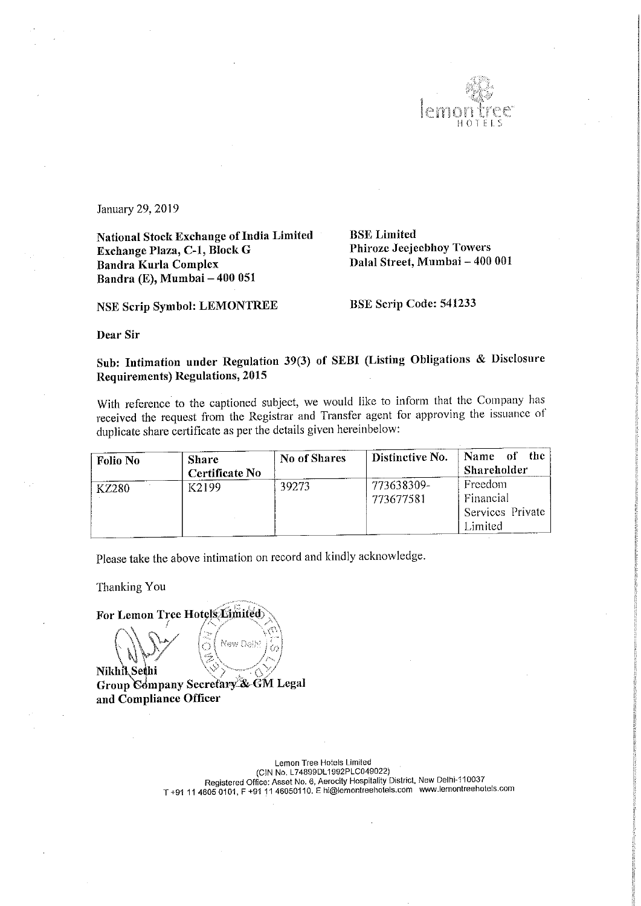

January 29, 2019

National Stock Exchange of India Limited Exchange Plaza, C—l, Block G Bandra Kurla Complex Bandra (E), Mumbai — 400 051

BSE Limited Phiroze Jeejeebhoy Towers Dalal Street, Mumbai — 400 001

NSE Scrip Symbol: LEMONTREE BSE Scrip Code: 541233

Dear Sir

Sub: Intimation under Regulation 39(3) of SEBI (Listing Obligations & Disclosure Requirements) Regulations, 2015

With reference to the captioned subject, we would like to inform that the Company has received the request from the Registrar and Transfer agent for approving the issuance of duplicate share certificate as per the details given hereinbelow:

| <b>Folio No</b> | <b>Share</b><br>Certificate No | No of Shares | Distinctive No.         | Name<br>– the<br>Ωf<br>Shareholder                  |
|-----------------|--------------------------------|--------------|-------------------------|-----------------------------------------------------|
| <b>KZ280</b>    | K2199                          | 39273        | 773638309-<br>773677581 | Freedom<br>Financial<br>Services Private<br>Limited |

Please take the above intimation on record and kindly acknowledge.

Thanking You

For Lemon Tree Hotels Limited

New Delh Nikhik Sethi Group Company Secretary & GM Legal<br>and Compliance Officer

Lemon Tree Hotels Limited<br>(CIN No. L74899DL1992PLC049022) CiN No. L74899DL1992PLC049022))<br>Registered Office: Asset No. 6, Aerocity Hospitality District, New Delhi-110037<br>T +91 11 4605 0101, F +91 11 46050110. E hi@lemontreehotels.com www.lemontreehotels.com